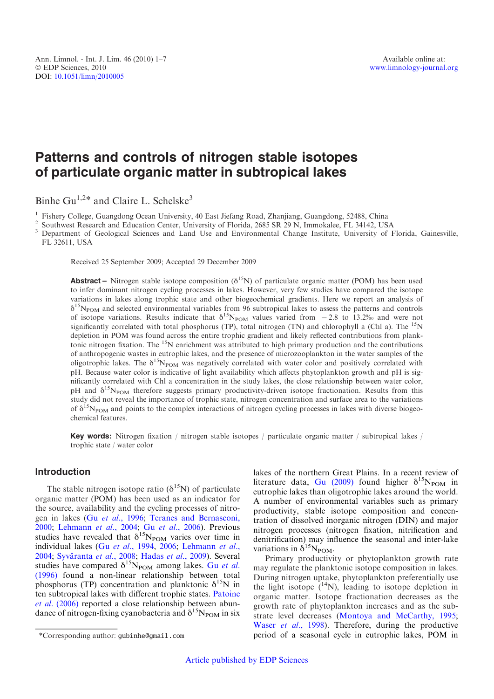# Patterns and controls of nitrogen stable isotopes of particulate organic matter in subtropical lakes

Binhe Gu<sup>1,2\*</sup> and Claire L. Schelske<sup>3</sup>

<sup>1</sup> Fishery College, Guangdong Ocean University, 40 East Jiefang Road, Zhanjiang, Guangdong, 52488, China<br><sup>2</sup> Southwest Research and Education Center, University of Florida, 2685 SR 29 N, Immokalee, FL 34142, USA<br><sup>3</sup> Depa FL 32611, USA

Received 25 September 2009; Accepted 29 December 2009

**Abstract** – Nitrogen stable isotope composition ( $\delta^{15}N$ ) of particulate organic matter (POM) has been used to infer dominant nitrogen cycling processes in lakes. However, very few studies have compared the isotope variations in lakes along trophic state and other biogeochemical gradients. Here we report an analysis of  $\delta^{15}N_{\text{POM}}$  and selected environmental variables from 96 subtropical lakes to assess the patterns and controls of isotope variations. Results indicate that  $\delta^{15}N_{POM}$  values varied from  $-2.8$  to 13.2‰ and were not significantly correlated with total phosphorus (TP), total nitrogen (TN) and chlorophyll a (Chl a). The  $^{15}N$ depletion in POM was found across the entire trophic gradient and likely reflected contributions from planktonic nitrogen fixation. The <sup>15</sup>N enrichment was attributed to high primary production and the contributions of anthropogenic wastes in eutrophic lakes, and the presence of microzooplankton in the water samples of the oligotrophic lakes. The  $\delta^{15}N_{POM}$  was negatively correlated with water color and positively correlated with pH. Because water color is indicative of light availability which affects phytoplankton growth and pH is significantly correlated with Chl a concentration in the study lakes, the close relationship between water color, pH and  $\delta^{15}N_{\text{POM}}$  therefore suggests primary productivity-driven isotope fractionation. Results from this study did not reveal the importance of trophic state, nitrogen concentration and surface area to the variations of  $\delta^{15}N_{\text{POM}}$  and points to the complex interactions of nitrogen cycling processes in lakes with diverse biogeochemical features.

Key words: Nitrogen fixation / nitrogen stable isotopes / particulate organic matter / subtropical lakes / trophic state / water color

## Introduction

The stable nitrogen isotope ratio  $(\delta^{15}N)$  of particulate organic matter (POM) has been used as an indicator for the source, availability and the cycling processes of nitrogen in lakes (Gu et al.[, 1996](#page-6-0); [Teranes and Bernasconi,](#page-6-0) [2000](#page-6-0); [Lehmann](#page-6-0) et al., 2004; Gu et al.[, 2006\)](#page-6-0). Previous studies have revealed that  $\delta^{15}N_{\text{POM}}$  varies over time in individual lakes (Gu et al.[, 1994,](#page-6-0) [2006;](#page-6-0) [Lehmann](#page-6-0) et al., [2004](#page-6-0); Syväranta et al., 2008; [Hadas](#page-6-0) et al., 2009). Several studies have compared  $\delta^{15}N_{\text{POM}}$  among lakes. Gu [et al.](#page-6-0) [\(1996\)](#page-6-0) found a non-linear relationship between total phosphorus (TP) concentration and planktonic  $\delta^{15}N$  in ten subtropical lakes with different trophic states. [Patoine](#page-6-0) et al. [\(2006\)](#page-6-0) reported a close relationship between abundance of nitrogen-fixing cyanobacteria and  $\delta^{15}N_{\text{POM}}$  in six

lakes of the northern Great Plains. In a recent review of literature data, [Gu \(2009\)](#page-6-0) found higher  $\delta^{15}N_{\text{POM}}$  in eutrophic lakes than oligotrophic lakes around the world. A number of environmental variables such as primary productivity, stable isotope composition and concentration of dissolved inorganic nitrogen (DIN) and major nitrogen processes (nitrogen fixation, nitrification and denitrification) may influence the seasonal and inter-lake variations in  $\delta^{15}N_{\text{POM}}$ .

Primary productivity or phytoplankton growth rate may regulate the planktonic isotope composition in lakes. During nitrogen uptake, phytoplankton preferentially use the light isotope  $(14N)$ , leading to isotope depletion in organic matter. Isotope fractionation decreases as the growth rate of phytoplankton increases and as the substrate level decreases ([Montoya and McCarthy, 1995;](#page-6-0) Waser et al.[, 1998\)](#page-6-0). Therefore, during the productive \*Corresponding author: gubinhe@gmail.com period of a seasonal cycle in eutrophic lakes, POM in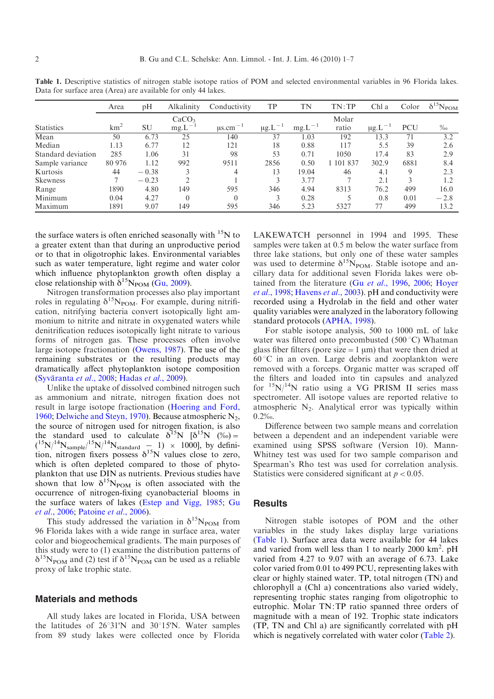|                    | Area            | pH      | Alkalinity        | Conductivity             | TP                | TN          | TN:TP     | Chl a                   | Color      | $\delta^{15}N_{\text{POM}}$ |
|--------------------|-----------------|---------|-------------------|--------------------------|-------------------|-------------|-----------|-------------------------|------------|-----------------------------|
|                    |                 |         | CaCO <sub>3</sub> |                          |                   |             | Molar     |                         |            |                             |
| <b>Statistics</b>  | km <sup>2</sup> | SU      | $mg.L^{-1}$       | $\mu$ s.cm <sup>-1</sup> | $\mu$ g. $L^{-1}$ | $mg.L^{-1}$ | ratio     | $\mu$ g.L <sup>-1</sup> | <b>PCU</b> | $\%$                        |
| Mean               | 50              | 6.73    | 25                | 140                      | 37                | 1.03        | 192       | 13.3                    | 71         | 3.2                         |
| Median             | 1.13            | 6.77    | 12                | 121                      | 18                | 0.88        | 117       | 5.5                     | 39         | 2.6                         |
| Standard deviation | 285             | 1.06    | 31                | 98                       | 53                | 0.71        | 1050      | 17.4                    | 83         | 2.9                         |
| Sample variance    | 80 976          | 1.12    | 992               | 9511                     | 2856              | 0.50        | 1 101 837 | 302.9                   | 6881       | 8.4                         |
| Kurtosis           | 44              | $-0.38$ |                   | 4                        | 13                | 19.04       | 46        | 4.1                     | 9          | 2.3                         |
| <b>Skewness</b>    | $\mathcal{L}$   | $-0.23$ | $\bigcirc$        |                          |                   | 3.77        |           | 2.1                     | 3          | 1.2                         |
| Range              | 1890            | 4.80    | 149               | 595                      | 346               | 4.94        | 8313      | 76.2                    | 499        | 16.0                        |
| Minimum            | 0.04            | 4.27    | $\theta$          |                          |                   | 0.28        |           | 0.8                     | 0.01       | $-2.8$                      |
| Maximum            | 1891            | 9.07    | 149               | 595                      | 346               | 5.23        | 5327      | 77                      | 499        | 13.2                        |

<span id="page-1-0"></span>Table 1. Descriptive statistics of nitrogen stable isotope ratios of POM and selected environmental variables in 96 Florida lakes. Data for surface area (Area) are available for only 44 lakes.

the surface waters is often enriched seasonally with  $15N$  to a greater extent than that during an unproductive period or to that in oligotrophic lakes. Environmental variables such as water temperature, light regime and water color which influence phytoplankton growth often display a close relationship with  $\delta^{15}N_{\text{POM}}$  ([Gu, 2009\)](#page-6-0).

Nitrogen transformation processes also play important roles in regulating  $\delta^{15}N_{\text{POM}}$ . For example, during nitrification, nitrifying bacteria convert isotopically light ammonium to nitrite and nitrate in oxygenated waters while denitrification reduces isotopically light nitrate to various forms of nitrogen gas. These processes often involve large isotope fractionation ([Owens, 1987](#page-6-0)). The use of the remaining substrates or the resulting products may dramatically affect phytoplankton isotope composition (Syväranta et al., 2008; [Hadas](#page-6-0) et al., 2009).

Unlike the uptake of dissolved combined nitrogen such as ammonium and nitrate, nitrogen fixation does not result in large isotope fractionation ([Hoering and Ford,](#page-6-0) [1960](#page-6-0); [Delwiche and Steyn, 1970](#page-5-0)). Because atmospheric  $N_2$ , the source of nitrogen used for nitrogen fixation, is also the standard used to calculate  $\delta^{15}N$   $[\delta^{15}N (%)]$  $({}^{15}N/{}^{14}N_{sample}/{}^{15}N/{}^{14}N_{standard} - 1) \times 1000$ ], by definition, nitrogen fixers possess  $\delta^{15}$ N values close to zero, which is often depleted compared to those of phytoplankton that use DIN as nutrients. Previous studies have shown that low  $\delta^{15}N_{\text{POM}}$  is often associated with the occurrence of nitrogen-fixing cyanobacterial blooms in the surface waters of lakes ([Estep and Vigg, 1985](#page-5-0); [Gu](#page-6-0) et al.[, 2006;](#page-6-0) [Patoine](#page-6-0) et al., 2006).

This study addressed the variation in  $\delta^{15}N_{\text{POM}}$  from 96 Florida lakes with a wide range in surface area, water color and biogeochemical gradients. The main purposes of this study were to (1) examine the distribution patterns of  $\delta^{15}N_{\text{POM}}$  and (2) test if  $\delta^{15}N_{\text{POM}}$  can be used as a reliable proxy of lake trophic state.

#### Materials and methods

All study lakes are located in Florida, USA between the latitudes of  $26^{\circ}31'N$  and  $30^{\circ}15'N$ . Water samples from 89 study lakes were collected once by Florida LAKEWATCH personnel in 1994 and 1995. These samples were taken at 0.5 m below the water surface from three lake stations, but only one of these water samples was used to determine  $\delta^{15}N_{\text{POM}}$ . Stable isotope and ancillary data for additional seven Florida lakes were ob-tained from the literature (Gu et al.[, 1996](#page-6-0), [2006;](#page-6-0) [Hoyer](#page-6-0) et al.[, 1998](#page-6-0); [Havens](#page-6-0) et al., 2003). pH and conductivity were recorded using a Hydrolab in the field and other water quality variables were analyzed in the laboratory following standard protocols ([APHA, 1998\)](#page-5-0).

For stable isotope analysis, 500 to 1000 mL of lake water was filtered onto precombusted  $(500 °C)$  Whatman glass fiber filters (pore size  $=1 \mu m$ ) that were then dried at  $60^{\circ}$ C in an oven. Large debris and zooplankton were removed with a forceps. Organic matter was scraped off the filters and loaded into tin capsules and analyzed for  $15N/14N$  ratio using a VG PRISM II series mass spectrometer. All isotope values are reported relative to atmospheric  $N_2$ . Analytical error was typically within 0.2‰.

Difference between two sample means and correlation between a dependent and an independent variable were examined using SPSS software (Version 10). Mann-Whitney test was used for two sample comparison and Spearman's Rho test was used for correlation analysis. Statistics were considered significant at  $p < 0.05$ .

#### **Results**

Nitrogen stable isotopes of POM and the other variables in the study lakes display large variations (Table 1). Surface area data were available for 44 lakes and varied from well less than 1 to nearly 2000  $\text{km}^2$ . pH varied from 4.27 to 9.07 with an average of 6.73. Lake color varied from 0.01 to 499 PCU, representing lakes with clear or highly stained water. TP, total nitrogen (TN) and chlorophyll a (Chl a) concentrations also varied widely, representing trophic states ranging from oligotrophic to eutrophic. Molar TN:TP ratio spanned three orders of magnitude with a mean of 192. Trophic state indicators (TP, TN and Chl a) are significantly correlated with pH which is negatively correlated with water color ([Table 2\)](#page-2-0).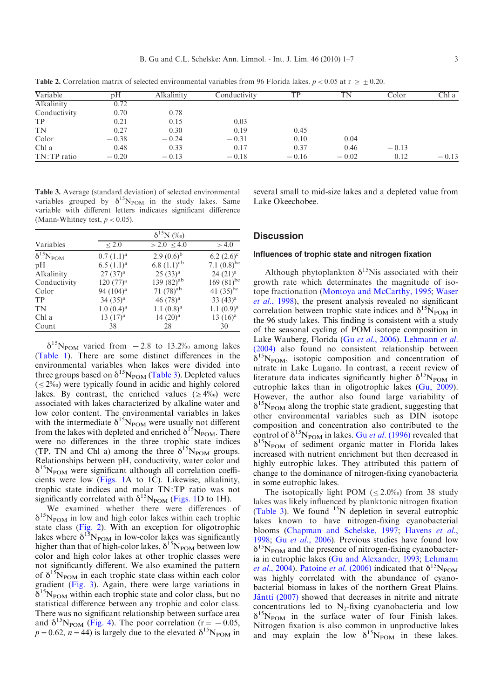| Variable      | pH      | Alkalinity | Conductivity | TP      | TN      | Color   | Chl a   |
|---------------|---------|------------|--------------|---------|---------|---------|---------|
| Alkalinity    | 0.72    |            |              |         |         |         |         |
| Conductivity  | 0.70    | 0.78       |              |         |         |         |         |
| <b>TP</b>     | 0.21    | 0.15       | 0.03         |         |         |         |         |
| <b>TN</b>     | 0.27    | 0.30       | 0.19         | 0.45    |         |         |         |
| Color         | $-0.38$ | $-0.24$    | $-0.31$      | 0.10    | 0.04    |         |         |
| Chl a         | 0.48    | 0.33       | 0.17         | 0.37    | 0.46    | $-0.13$ |         |
| $TN:TP$ ratio | $-0.20$ | $-0.13$    | $-0.18$      | $-0.16$ | $-0.02$ | 0.12    | $-0.13$ |

<span id="page-2-0"></span>**Table 2.** Correlation matrix of selected environmental variables from 96 Florida lakes.  $p < 0.05$  at  $r \ge \pm 0.20$ .

Table 3. Average (standard deviation) of selected environmental variables grouped by  $\delta^{15}N_{\text{POM}}$  in the study lakes. Same variable with different letters indicates significant difference (Mann-Whitney test,  $p < 0.05$ ).

|                          | $\delta^{15}N$ (%o) |                  |                  |  |  |  |
|--------------------------|---------------------|------------------|------------------|--|--|--|
| Variables                | < 2.0               | $> 2.0 \le 4.0$  | > 4.0            |  |  |  |
| $\delta^{15}N_{\rm POM}$ | $0.7(1.1)^a$        | $2.9(0.6)^{b}$   | $6.2 (2.6)^c$    |  |  |  |
| pH                       | $6.5 (1.1)^a$       | 6.8 $(1.1)^{ab}$ | 7.1 $(0.8)^{bc}$ |  |  |  |
| Alkalinity               | $27(37)^{a}$        | $25(33)^{a}$     | $24 (21)^a$      |  |  |  |
| Conductivity             | $120 (77)^a$        | 139 $(82)^{ab}$  | 169 $(81)^{bc}$  |  |  |  |
| Color                    | 94 $(104)^a$        | 71 $(78)^{ab}$   | 41 $(35)^{bc}$   |  |  |  |
| TP                       | $34(35)^{a}$        | 46 $(78)^a$      | $33(43)^a$       |  |  |  |
| TN                       | $1.0~(0.4)^a$       | $1.1(0.8)^a$     | $1.1 (0.9)^a$    |  |  |  |
| Chl a                    | $13(17)^a$          | $14(20)^a$       | $13(16)^a$       |  |  |  |
| Count                    | 38                  | 28               | 30               |  |  |  |

 $\delta^{15}N_{\text{POM}}$  varied from  $-2.8$  to 13.2‰ among lakes ([Table 1](#page-1-0)). There are some distinct differences in the environmental variables when lakes were divided into three groups based on  $\delta^{15}N_{\text{POM}}$  (Table 3). Depleted values  $(\leq 2\%)$  were typically found in acidic and highly colored lakes. By contrast, the enriched values ( $\geq 4\%$ ) were associated with lakes characterized by alkaline water and low color content. The environmental variables in lakes with the intermediate  $\delta^{15}N_{\text{POM}}$  were usually not different from the lakes with depleted and enriched  $\delta^{15}N_{\text{POM}}$ . There were no differences in the three trophic state indices (TP, TN and Chl a) among the three  $\delta^{15}N_{\text{POM}}$  groups. Relationships between pH, conductivity, water color and  $\delta^{15}N_{\text{POM}}$  were significant although all correlation coefficients were low ([Figs. 1A](#page-3-0) to 1C). Likewise, alkalinity, trophic state indices and molar TN:TP ratio was not significantly correlated with  $\delta^{15}N_{\text{POM}}$  [\(Figs. 1D](#page-3-0) to 1H).

We examined whether there were differences of  $\delta^{15}N_{\text{POM}}$  in low and high color lakes within each trophic state class ([Fig. 2](#page-4-0)). With an exception for oligotrophic lakes where  $\delta^{15}N_{\text{POM}}$  in low-color lakes was significantly higher than that of high-color lakes,  $\delta^{15}N_{\text{POM}}$  between low color and high color lakes at other trophic classes were not significantly different. We also examined the pattern of  $\delta^{15}N_{\text{POM}}$  in each trophic state class within each color gradient ([Fig. 3](#page-4-0)). Again, there were large variations in  $\delta^{15}N_{\text{POM}}$  within each trophic state and color class, but no statistical difference between any trophic and color class. There was no significant relationship between surface area and  $\delta^{15}N_{\text{POM}}$  ([Fig. 4\)](#page-4-0). The poor correlation (r = -0.05,  $p=0.62$ ,  $n=44$ ) is largely due to the elevated  $\delta^{15}N_{\text{POM}}$  in

several small to mid-size lakes and a depleted value from Lake Okeechobee.

## **Discussion**

## Influences of trophic state and nitrogen fixation

Although phytoplankton  $\delta^{15}$ Nis associated with their growth rate which determinates the magnitude of isotope fractionation [\(Montoya and McCarthy, 1995](#page-6-0); [Waser](#page-6-0) et al.[, 1998](#page-6-0)), the present analysis revealed no significant correlation between trophic state indices and  $\delta^{15}N_{\text{POM}}$  in the 96 study lakes. This finding is consistent with a study of the seasonal cycling of POM isotope composition in Lake Wauberg, Florida (Gu et al.[, 2006](#page-6-0)). [Lehmann](#page-6-0) et al. [\(2004\)](#page-6-0) also found no consistent relationship between  $\delta^{15}N_{\text{POM}}$ , isotopic composition and concentration of nitrate in Lake Lugano. In contrast, a recent review of literature data indicates significantly higher  $\delta^{15}N_{\text{POM}}$  in eutrophic lakes than in oligotrophic lakes ([Gu, 2009](#page-6-0)). However, the author also found large variability of  $\delta^{15}N_{\text{POM}}$  along the trophic state gradient, suggesting that other environmental variables such as DIN isotope composition and concentration also contributed to the control of  $\delta^{15}N_{\text{POM}}$  in lakes. Gu *et al.* [\(1996\)](#page-6-0) revealed that  $\delta^{15}N_{\text{POM}}$  of sediment organic matter in Florida lakes increased with nutrient enrichment but then decreased in highly eutrophic lakes. They attributed this pattern of change to the dominance of nitrogen-fixing cyanobacteria in some eutrophic lakes.

The isotopically light POM ( $\leq$  2.0‰) from 38 study lakes was likely influenced by planktonic nitrogen fixation (Table 3). We found  $15N$  depletion in several eutrophic lakes known to have nitrogen-fixing cyanobacterial blooms ([Chapman and Schelske, 1997](#page-5-0); [Havens](#page-6-0) et al., [1998](#page-6-0); Gu et al.[, 2006\)](#page-6-0). Previous studies have found low  $\delta^{15}N_{\text{POM}}$  and the presence of nitrogen-fixing cyanobacteria in eutrophic lakes [\(Gu and Alexander, 1993;](#page-6-0) [Lehmann](#page-6-0) *et al.*[, 2004](#page-6-0)). [Patoine](#page-6-0) *et al.* (2006) indicated that  $\delta^{15}N_{\text{POM}}$ was highly correlated with the abundance of cyanobacterial biomass in lakes of the northern Great Plains. Jäntti (2007) showed that decreases in nitrite and nitrate concentrations led to  $N_2$ -fixing cyanobacteria and low  $\delta^{15}N_{\text{POM}}$  in the surface water of four Finish lakes. Nitrogen fixation is also common in unproductive lakes and may explain the low  $\delta^{15}N_{\text{POM}}$  in these lakes.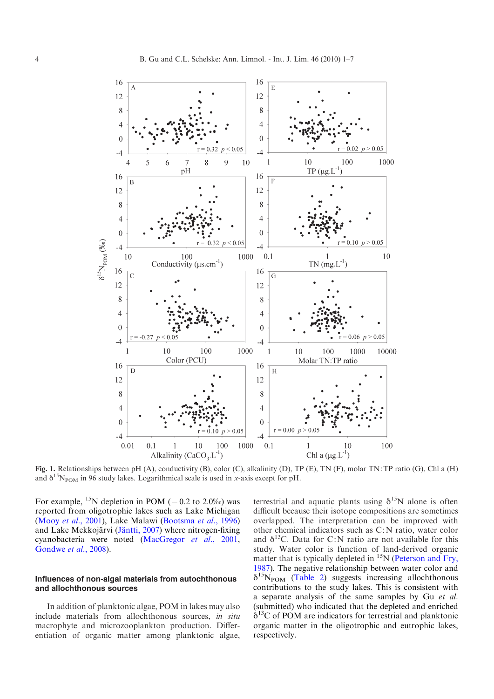<span id="page-3-0"></span>

Fig. 1. Relationships between pH (A), conductivity (B), color (C), alkalinity (D), TP (E), TN (F), molar TN:TP ratio (G), Chl a (H) and  $\delta^{15}N_{\text{POM}}$  in 96 study lakes. Logarithmical scale is used in x-axis except for pH.

For example, <sup>15</sup>N depletion in POM ( $-0.2$  to 2.0‰) was reported from oligotrophic lakes such as Lake Michigan (Mooy et al.[, 2001\)](#page-6-0), Lake Malawi [\(Bootsma](#page-5-0) et al., 1996) and Lake Mekkojärvi (Jäntti, 2007) where nitrogen-fixing cyanobacteria were noted [\(MacGregor](#page-6-0) et al., 2001, [Gondwe](#page-5-0) et al., 2008).

## Influences of non-algal materials from autochthonous and allochthonous sources

In addition of planktonic algae, POM in lakes may also include materials from allochthonous sources, in situ macrophyte and microzooplankton production. Differentiation of organic matter among planktonic algae,

terrestrial and aquatic plants using  $\delta^{15}N$  alone is often difficult because their isotope compositions are sometimes overlapped. The interpretation can be improved with other chemical indicators such as C:N ratio, water color and  $\delta^{13}$ C. Data for C:N ratio are not available for this study. Water color is function of land-derived organic matter that is typically depleted in  $15N$  [\(Peterson and Fry,](#page-6-0) [1987](#page-6-0)). The negative relationship between water color and  $\delta^{15}N_{\text{POM}}$  [\(Table 2](#page-2-0)) suggests increasing allochthonous contributions to the study lakes. This is consistent with a separate analysis of the same samples by Gu et al. (submitted) who indicated that the depleted and enriched  $\delta^{13}$ C of POM are indicators for terrestrial and planktonic organic matter in the oligotrophic and eutrophic lakes, respectively.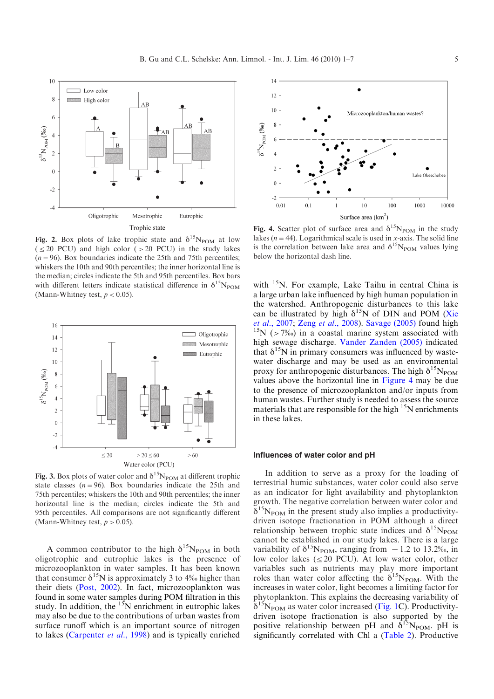<span id="page-4-0"></span>

Fig. 2. Box plots of lake trophic state and  $\delta^{15}N_{\text{POM}}$  at low  $( $\leq$  20 PCU)$  and high color ( $>$  20 PCU) in the study lakes  $(n=96)$ . Box boundaries indicate the 25th and 75th percentiles; whiskers the 10th and 90th percentiles; the inner horizontal line is the median; circles indicate the 5th and 95th percentiles. Box bars with different letters indicate statistical difference in  $\delta^{15}N_{\text{POM}}$ (Mann-Whitney test,  $p < 0.05$ ).



Fig. 3. Box plots of water color and  $\delta^{15}N_{\text{POM}}$  at different trophic state classes ( $n=96$ ). Box boundaries indicate the 25th and 75th percentiles; whiskers the 10th and 90th percentiles; the inner horizontal line is the median; circles indicate the 5th and 95th percentiles. All comparisons are not significantly different (Mann-Whitney test,  $p > 0.05$ ).

A common contributor to the high  $\delta^{15}N_{\text{POM}}$  in both oligotrophic and eutrophic lakes is the presence of microzooplankton in water samples. It has been known that consumer  $\delta^{15}N$  is approximately 3 to 4‰ higher than their diets ([Post, 2002\)](#page-6-0). In fact, microzooplankton was found in some water samples during POM filtration in this study. In addition, the  $15N$  enrichment in eutrophic lakes may also be due to the contributions of urban wastes from surface runoff which is an important source of nitrogen to lakes ([Carpenter](#page-5-0) et al., 1998) and is typically enriched



Fig. 4. Scatter plot of surface area and  $\delta^{15}N_{\text{POM}}$  in the study lakes ( $n=44$ ). Logarithmical scale is used in x-axis. The solid line is the correlation between lake area and  $\delta^{15}N_{\text{POM}}$  values lying below the horizontal dash line.

with <sup>15</sup>N. For example, Lake Taihu in central China is a large urban lake influenced by high human population in the watershed. Anthropogenic disturbances to this lake can be illustrated by high  $\delta^{15}N$  of DIN and POM ([Xie](#page-6-0) et al.[, 2007;](#page-6-0) Zeng et al.[, 2008](#page-6-0)). [Savage \(2005\)](#page-6-0) found high  $15N$  (>7‰) in a coastal marine system associated with high sewage discharge. [Vander Zanden \(2005\)](#page-6-0) indicated that  $\delta^{15}N$  in primary consumers was influenced by wastewater discharge and may be used as an environmental proxy for anthropogenic disturbances. The high  $\delta^{15}N_{\text{POM}}$ values above the horizontal line in Figure 4 may be due to the presence of microzooplankton and/or inputs from human wastes. Further study is needed to assess the source materials that are responsible for the high  $15N$  enrichments in these lakes.

#### Influences of water color and pH

In addition to serve as a proxy for the loading of terrestrial humic substances, water color could also serve as an indicator for light availability and phytoplankton growth. The negative correlation between water color and  $\delta^{15}N_{\text{POM}}$  in the present study also implies a productivitydriven isotope fractionation in POM although a direct relationship between trophic state indices and  $\delta^{15}N_{\text{POM}}$ cannot be established in our study lakes. There is a large variability of  $\delta^{15}N_{\text{POM}}$ , ranging from  $-1.2$  to 13.2‰, in low color lakes  $(\leq 20 \text{ PCU})$ . At low water color, other variables such as nutrients may play more important roles than water color affecting the  $\delta^{15}N_{\text{POM}}$ . With the increases in water color, light becomes a limiting factor for phytoplankton. This explains the decreasing variability of  $\delta^{15}N_{\text{POM}}$  as water color increased ([Fig. 1C](#page-3-0)). Productivitydriven isotope fractionation is also supported by the positive relationship between pH and  $\delta^{15}N_{POM}$ . pH is significantly correlated with Chl a ([Table 2](#page-2-0)). Productive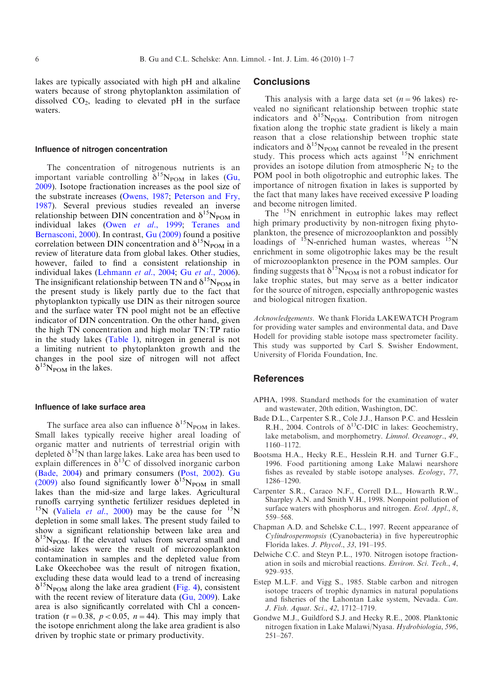<span id="page-5-0"></span>lakes are typically associated with high pH and alkaline waters because of strong phytoplankton assimilation of dissolved  $CO<sub>2</sub>$ , leading to elevated pH in the surface waters.

#### Influence of nitrogen concentration

The concentration of nitrogenous nutrients is an important variable controlling  $\delta^{15}N_{\text{POM}}$  in lakes [\(Gu,](#page-6-0) [2009](#page-6-0)). Isotope fractionation increases as the pool size of the substrate increases [\(Owens, 1987;](#page-6-0) [Peterson and Fry,](#page-6-0) [1987](#page-6-0)). Several previous studies revealed an inverse relationship between DIN concentration and  $\delta^{15}N_{\text{POM}}$  in individual lakes (Owen et al.[, 1999;](#page-6-0) [Teranes and](#page-6-0) [Bernasconi, 2000\)](#page-6-0). In contrast, [Gu \(2009\)](#page-6-0) found a positive correlation between DIN concentration and  $\delta^{15}N_{\text{POM}}$  in a review of literature data from global lakes. Other studies, however, failed to find a consistent relationship in individual lakes [\(Lehmann](#page-6-0) et al., 2004; Gu et al.[, 2006](#page-6-0)). The insignificant relationship between TN and  $\delta^{15}N_{\text{POM}}$  in the present study is likely partly due to the fact that phytoplankton typically use DIN as their nitrogen source and the surface water TN pool might not be an effective indicator of DIN concentration. On the other hand, given the high TN concentration and high molar TN:TP ratio in the study lakes [\(Table 1\)](#page-1-0), nitrogen in general is not a limiting nutrient to phytoplankton growth and the changes in the pool size of nitrogen will not affect  $\delta^{15}N_{\text{POM}}$  in the lakes.

#### Influence of lake surface area

The surface area also can influence  $\delta^{15}N_{\text{POM}}$  in lakes. Small lakes typically receive higher areal loading of organic matter and nutrients of terrestrial origin with depleted  $\delta^{15}N$  than large lakes. Lake area has been used to explain differences in  $\delta^{13}$ C of dissolved inorganic carbon (Bade, 2004) and primary consumers [\(Post, 2002\)](#page-6-0). [Gu](#page-6-0) [\(2009\)](#page-6-0) also found significantly lower  $\delta^{15}N_{\text{POM}}$  in small lakes than the mid-size and large lakes. Agricultural runoffs carrying synthetic fertilizer residues depleted in <sup>15</sup>N [\(Valiela](#page-6-0) *et al.*, 2000) may be the cause for <sup>15</sup>N depletion in some small lakes. The present study failed to show a significant relationship between lake area and  $\delta^{15}N_{\text{POM}}$ . If the elevated values from several small and mid-size lakes were the result of microzooplankton contamination in samples and the depleted value from Lake Okeechobee was the result of nitrogen fixation, excluding these data would lead to a trend of increasing  $\delta^{15}N_{\text{POM}}$  along the lake area gradient ([Fig. 4\)](#page-4-0), consistent with the recent review of literature data  $(Gu, 2009)$ . Lake area is also significantly correlated with Chl a concentration (r = 0.38,  $p < 0.05$ ,  $n = 44$ ). This may imply that the isotope enrichment along the lake area gradient is also driven by trophic state or primary productivity.

#### **Conclusions**

This analysis with a large data set  $(n=96$  lakes) revealed no significant relationship between trophic state indicators and  $\delta^{15}N_{\text{POM}}$ . Contribution from nitrogen fixation along the trophic state gradient is likely a main reason that a close relationship between trophic state indicators and  $\delta^{15}N_{\text{POM}}$  cannot be revealed in the present study. This process which acts against <sup>15</sup>N enrichment provides an isotope dilution from atmospheric  $N_2$  to the POM pool in both oligotrophic and eutrophic lakes. The importance of nitrogen fixation in lakes is supported by the fact that many lakes have received excessive P loading and become nitrogen limited.

The <sup>15</sup>N enrichment in eutrophic lakes may reflect high primary productivity by non-nitrogen fixing phytoplankton, the presence of microzooplankton and possibly loadings of  $^{15}$ N-enriched human wastes, whereas  $^{15}$ N enrichment in some oligotrophic lakes may be the result of microzooplankton presence in the POM samples. Our finding suggests that  $\delta^{15}N_{\text{POM}}$  is not a robust indicator for lake trophic states, but may serve as a better indicator for the source of nitrogen, especially anthropogenic wastes and biological nitrogen fixation.

Acknowledgements. We thank Florida LAKEWATCH Program for providing water samples and environmental data, and Dave Hodell for providing stable isotope mass spectrometer facility. This study was supported by Carl S. Swisher Endowment, University of Florida Foundation, Inc.

#### References

- APHA, 1998. Standard methods for the examination of water and wastewater, 20th edition, Washington, DC.
- Bade D.L., Carpenter S.R., Cole J.J., Hanson P.C. and Hesslein R.H., 2004. Controls of  $\delta^{13}$ C-DIC in lakes: Geochemistry, lake metabolism, and morphometry. Limnol. Oceanogr., 49, 1160–1172.
- Bootsma H.A., Hecky R.E., Hesslein R.H. and Turner G.F., 1996. Food partitioning among Lake Malawi nearshore fishes as revealed by stable isotope analyses. Ecology, 77, 1286–1290.
- Carpenter S.R., Caraco N.F., Correll D.L., Howarth R.W., Sharpley A.N. and Smith V.H., 1998. Nonpoint pollution of surface waters with phosphorus and nitrogen. Ecol. Appl., 8, 559–568.
- Chapman A.D. and Schelske C.L., 1997. Recent appearance of Cylindrospermopsis (Cyanobacteria) in five hypereutrophic Florida lakes. J. Phycol., 33, 191–195.
- Delwiche C.C. and Steyn P.L., 1970. Nitrogen isotope fractionation in soils and microbial reactions. Environ. Sci. Tech., 4, 929–935.
- Estep M.L.F. and Vigg S., 1985. Stable carbon and nitrogen isotope tracers of trophic dynamics in natural populations and fisheries of the Lahontan Lake system, Nevada. Can. J. Fish. Aquat. Sci., 42, 1712–1719.
- Gondwe M.J., Guildford S.J. and Hecky R.E., 2008. Planktonic nitrogen fixation in Lake Malawi/Nyasa. Hydrobiologia, 596, 251–267.